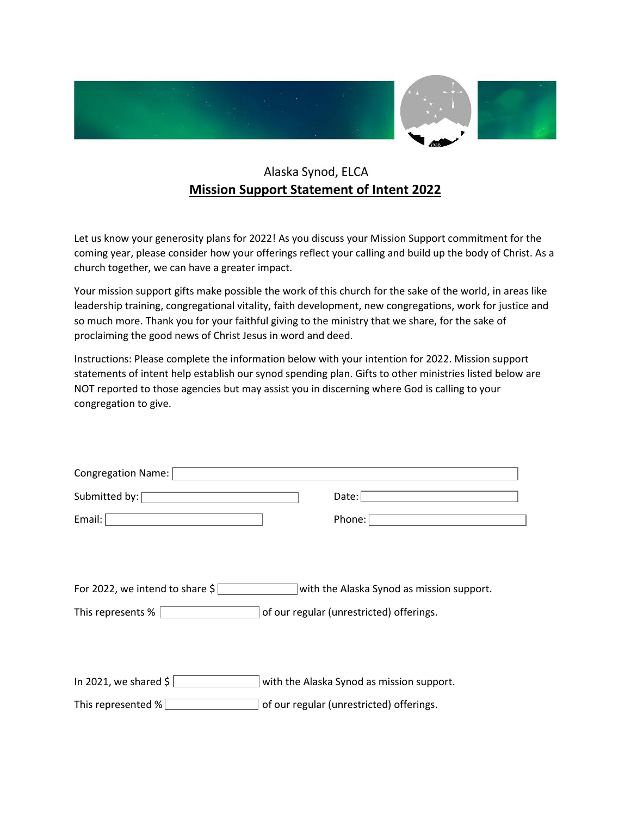

## Alaska Synod, ELCA **Mission Support Statement of Intent 2022**

Let us know your generosity plans for 2022! As you discuss your Mission Support commitment for the coming year, please consider how your offerings reflect your calling and build up the body of Christ. As a church together, we can have a greater impact.

Your mission support gifts make possible the work of this church for the sake of the world, in areas like leadership training, congregational vitality, faith development, new congregations, work for justice and so much more. Thank you for your faithful giving to the ministry that we share, for the sake of proclaiming the good news of Christ Jesus in word and deed.

Instructions: Please complete the information below with your intention for 2022. Mission support statements of intent help establish our synod spending plan. Gifts to other ministries listed below are NOT reported to those agencies but may assist you in discerning where God is calling to your congregation to give.

| <b>Congregation Name:</b>                  |                                           |
|--------------------------------------------|-------------------------------------------|
| Submitted by:                              | Data:                                     |
| Email:                                     | Phone:                                    |
|                                            |                                           |
|                                            |                                           |
| For 2022, we intend to share $\frac{1}{2}$ | with the Alaska Synod as mission support. |
| This represents %                          | of our regular (unrestricted) offerings.  |
|                                            |                                           |
|                                            |                                           |
| In 2021, we shared \$                      | with the Alaska Synod as mission support. |
| This represented $\%$                      | of our regular (unrestricted) offerings.  |
|                                            |                                           |